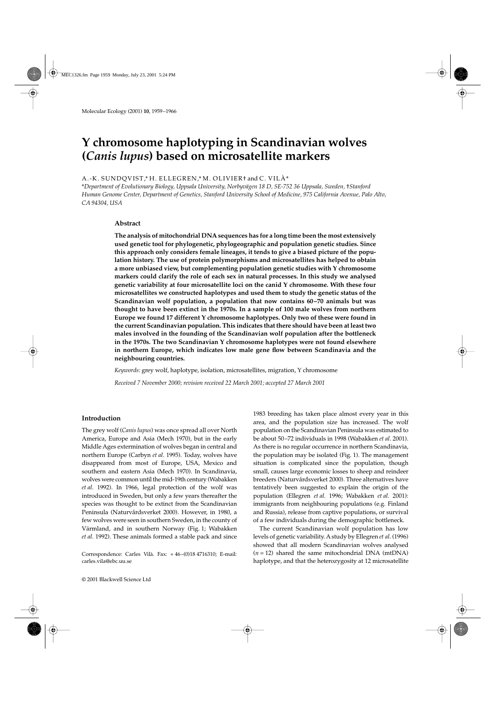# **Y** chromosome haplotyping in Scandinavian wolves **(***Canis lupus***) based on microsatellite markers**

# A.-K. SUNDQVIST,\* H. ELLEGREN,\* M. OLIVIER† and C. VILÀ\*

\**Department of Evolutionary Biology, Uppsala University, Norbyvägen 18 D, SE-752 36 Uppsala, Sweden,* †*Stanford Human Genome Center, Department of Genetics, Stanford University School of Medicine, 975 California Avenue, Palo Alto, CA 94304, USA*

## **Abstract**

**The analysis of mitochondrial DNA sequences has for a long time been the most extensively used genetic tool for phylogenetic, phylogeographic and population genetic studies. Since this approach only considers female lineages, it tends to give a biased picture of the population history. The use of protein polymorphisms and microsatellites has helped to obtain a more unbiased view, but complementing population genetic studies with Y chromosome markers could clarify the role of each sex in natural processes. In this study we analysed genetic variability at four microsatellite loci on the canid Y chromosome. With these four microsatellites we constructed haplotypes and used them to study the genetic status of the Scandinavian wolf population, a population that now contains 60–70 animals but was thought to have been extinct in the 1970s. In a sample of 100 male wolves from northern Europe we found 17 different Y chromosome haplotypes. Only two of these were found in the current Scandinavian population. This indicates that there should have been at least two males involved in the founding of the Scandinavian wolf population after the bottleneck in the 1970s. The two Scandinavian Y chromosome haplotypes were not found elsewhere in northern Europe, which indicates low male gene flow between Scandinavia and the neighbouring countries.**

*Keywords*: grey wolf, haplotype, isolation, microsatellites, migration, Y chromosome *Received 7 November 2000; revision received 22 March 2001; accepted 27 March 2001*

# **Introduction**

The grey wolf (*Canis lupus*) was once spread all over North America, Europe and Asia (Mech 1970), but in the early Middle Ages extermination of wolves began in central and northern Europe (Carbyn *et al*. 1995). Today, wolves have disappeared from most of Europe, USA, Mexico and southern and eastern Asia (Mech 1970). In Scandinavia, wolves were common until the mid-19th century (Wabakken *et al*. 1992). In 1966, legal protection of the wolf was introduced in Sweden, but only a few years thereafter the species was thought to be extinct from the Scandinavian Peninsula (Naturvårdsverket 2000). However, in 1980, a few wolves were seen in southern Sweden, in the county of Värmland, and in southern Norway (Fig. 1; Wabakken *et al*. 1992). These animals formed a stable pack and since

Correspondence: Carles Vilà. Fax: + 46–(0)18 4716310; E-mail: carles.vila@ebc.uu.se

© 2001 Blackwell Science Ltd

1983 breeding has taken place almost every year in this area, and the population size has increased. The wolf population on the Scandinavian Peninsula was estimated to be about 50–72 individuals in 1998 (Wabakken *et al*. 2001). As there is no regular occurrence in northern Scandinavia, the population may be isolated (Fig. 1). The management situation is complicated since the population, though small, causes large economic losses to sheep and reindeer breeders (Naturvårdsverket 2000). Three alternatives have tentatively been suggested to explain the origin of the population (Ellegren *et al*. 1996; Wabakken *et al*. 2001): immigrants from neighbouring populations (e.g. Finland and Russia), release from captive populations, or survival of a few individuals during the demographic bottleneck.

The current Scandinavian wolf population has low levels of genetic variability. A study by Ellegren *et al*. (1996) showed that all modern Scandinavian wolves analysed (*n* = 12) shared the same mitochondrial DNA (mtDNA) haplotype, and that the heterozygosity at 12 microsatellite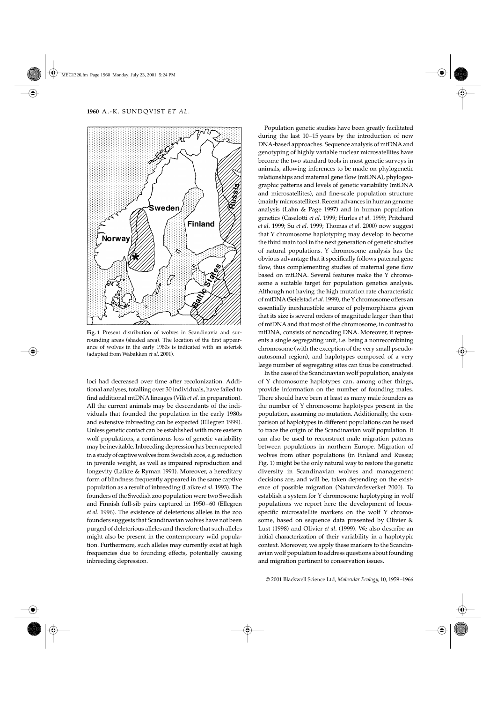

**Fig. 1** Present distribution of wolves in Scandinavia and surrounding areas (shaded area). The location of the first appearance of wolves in the early 1980s is indicated with an asterisk (adapted from Wabakken *et al*. 2001).

loci had decreased over time after recolonization. Additional analyses, totalling over 30 individuals, have failed to find additional mtDNA lineages (Vilà *et al*. in preparation). All the current animals may be descendants of the individuals that founded the population in the early 1980s and extensive inbreeding can be expected (Ellegren 1999). Unless genetic contact can be established with more eastern wolf populations, a continuous loss of genetic variability may be inevitable. Inbreeding depression has been reported in a study of captive wolves from Swedish zoos, e.g. reduction in juvenile weight, as well as impaired reproduction and longevity (Laikre & Ryman 1991). Moreover, a hereditary form of blindness frequently appeared in the same captive population as a result of inbreeding (Laikre *et al*. 1993). The founders of the Swedish zoo population were two Swedish and Finnish full-sib pairs captured in 1950–60 (Ellegren *et al*. 1996). The existence of deleterious alleles in the zoo founders suggests that Scandinavian wolves have not been purged of deleterious alleles and therefore that such alleles might also be present in the contemporary wild population. Furthermore, such alleles may currently exist at high frequencies due to founding effects, potentially causing inbreeding depression.

Population genetic studies have been greatly facilitated during the last 10–15 years by the introduction of new DNA-based approaches. Sequence analysis of mtDNA and genotyping of highly variable nuclear microsatellites have become the two standard tools in most genetic surveys in animals, allowing inferences to be made on phylogenetic relationships and maternal gene flow (mtDNA), phylogeographic patterns and levels of genetic variability (mtDNA and microsatellites), and fine-scale population structure (mainly microsatellites). Recent advances in human genome analysis (Lahn & Page 1997) and in human population genetics (Casalotti *et al*. 1999; Hurles *et al*. 1999; Pritchard *et al*. 1999; Su *et al*. 1999; Thomas *et al*. 2000) now suggest that Y chromosome haplotyping may develop to become the third main tool in the next generation of genetic studies of natural populations. Y chromosome analysis has the obvious advantage that it specifically follows paternal gene flow, thus complementing studies of maternal gene flow based on mtDNA. Several features make the Y chromosome a suitable target for population genetics analysis. Although not having the high mutation rate characteristic of mtDNA (Seielstad *et al*. 1999), the Y chromosome offers an essentially inexhaustible source of polymorphisms given that its size is several orders of magnitude larger than that of mtDNA and that most of the chromosome, in contrast to mtDNA, consists of noncoding DNA. Moreover, it represents a single segregating unit, i.e. being a nonrecombining chromosome (with the exception of the very small pseudoautosomal region), and haplotypes composed of a very large number of segregating sites can thus be constructed.

In the case of the Scandinavian wolf population, analysis of Y chromosome haplotypes can, among other things, provide information on the number of founding males. There should have been at least as many male founders as the number of Y chromosome haplotypes present in the population, assuming no mutation. Additionally, the comparison of haplotypes in different populations can be used to trace the origin of the Scandinavian wolf population. It can also be used to reconstruct male migration patterns between populations in northern Europe. Migration of wolves from other populations (in Finland and Russia; Fig. 1) might be the only natural way to restore the genetic diversity in Scandinavian wolves and management decisions are, and will be, taken depending on the existence of possible migration (Naturvårdsverket 2000). To establish a system for Y chromosome haplotyping in wolf populations we report here the development of locusspecific microsatellite markers on the wolf Y chromosome, based on sequence data presented by Olivier & Lust (1998) and Olivier *et al*. (1999). We also describe an initial characterization of their variability in a haplotypic context. Moreover, we apply these markers to the Scandinavian wolf population to address questions about founding and migration pertinent to conservation issues.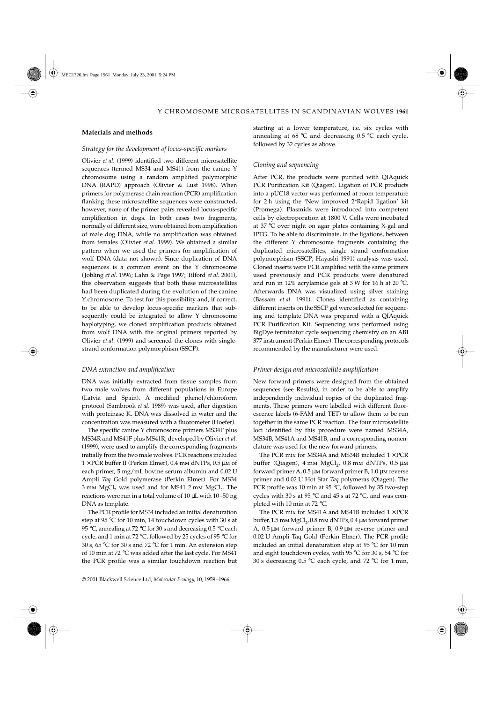## **Materials and methods**

#### *Strategy for the development of locus-specific markers*

Olivier *et al*. (1999) identified two different microsatellite sequences (termed MS34 and MS41) from the canine Y chromosome using a random amplified polymorphic DNA (RAPD) approach (Olivier & Lust 1998). When primers for polymerase chain reaction (PCR) amplification flanking these microsatellite sequences were constructed, however, none of the primer pairs revealed locus-specific amplification in dogs. In both cases two fragments, normally of different size, were obtained from amplification of male dog DNA, while no amplification was obtained from females (Olivier *et al*. 1999). We obtained a similar pattern when we used the primers for amplification of wolf DNA (data not shown). Since duplication of DNA sequences is a common event on the Y chromosome (Jobling *et al*. 1996; Lahn & Page 1997; Tilford *et al*. 2001), this observation suggests that both these microsatellites had been duplicated during the evolution of the canine Y chromosome. To test for this possibility and, if correct, to be able to develop locus-specific markers that subsequently could be integrated to allow Y chromosome haplotyping, we cloned amplification products obtained from wolf DNA with the original primers reported by Olivier *et al*. (1999) and screened the clones with singlestrand conformation polymorphism (SSCP).

#### *DNA extraction and amplification*

DNA was initially extracted from tissue samples from two male wolves from different populations in Europe (Latvia and Spain). A modified phenol/chloroform protocol (Sambrook *et al*. 1989) was used, after digestion with proteinase K. DNA was dissolved in water and the concentration was measured with a fluorometer (Hoefer).

The specific canine Y chromosome primers MS34F plus MS34R and MS41F plus MS41R, developed by Olivier *et al*. (1999), were used to amplify the corresponding fragments initially from the two male wolves. PCR reactions included  $1 \times PCR$  buffer II (Perkin Elmer), 0.4 mm dNTPs, 0.5 µm of each primer, 5 mg/mL bovine serum albumin and 0.02 U Ampli *Taq* Gold polymerase (Perkin Elmer). For MS34 3 mm MgCl<sub>2</sub> was used and for MS41 2 mm MgCl<sub>2</sub>. The reactions were run in a total volume of 10 µL with 10–50 ng DNA as template.

The PCR profile for MS34 included an initial denaturation step at 95 °C for 10 min, 14 touchdown cycles with 30 s at 95 °C, annealing at 72 °C for 30 s and decreasing 0.5 °C each cycle, and 1 min at 72 °C, followed by 25 cycles of 95 °C for 30 s, 65 °C for 30 s and 72 °C for 1 min. An extension step of 10 min at 72 °C was added after the last cycle. For MS41 the PCR profile was a similar touchdown reaction but

starting at a lower temperature, i.e. six cycles with annealing at 68 °C and decreasing 0.5 °C each cycle, followed by 32 cycles as above.

# *Cloning and sequencing*

After PCR, the products were purified with QIAquick PCR Purification Kit (Qiagen). Ligation of PCR products into a pUC18 vector was performed at room temperature for 2 h using the 'New improved 2\*Rapid ligation' kit (Promega). Plasmids were introduced into competent cells by electroporation at 1800 V. Cells were incubated at 37 °C over night on agar plates containing X-gal and IPTG. To be able to discriminate, in the ligations, between the different Y chromosome fragments containing the duplicated microsatellites, single strand conformation polymorphism (SSCP; Hayashi 1991) analysis was used. Cloned inserts were PCR amplified with the same primers used previously and PCR products were denatured and run in 12% acrylamide gels at 3 W for 16 h at 20 °C. Afterwards DNA was visualized using silver staining (Bassam *et al*. 1991). Clones identified as containing different inserts on the SSCP gel were selected for sequencing and template DNA was prepared with a QIAquick PCR Purification Kit. Sequencing was performed using BigDye terminator cycle sequencing chemistry on an ABI 377 instrument (Perkin Elmer). The corresponding protocols recommended by the manufacturer were used.

#### *Primer design and microsatellite amplification*

New forward primers were designed from the obtained sequences (see Results), in order to be able to amplify independently individual copies of the duplicated fragments. These primers were labelled with different fluorescence labels (6-FAM and TET) to allow them to be run together in the same PCR reaction. The four microsatellite loci identified by this procedure were named MS34A, MS34B, MS41A and MS41B, and a corresponding nomenclature was used for the new forward primers.

The PCR mix for MS34A and MS34B included  $1 \times PCR$ buffer (Qiagen),  $4 \text{ mm } \text{MgCl}_2$ ,  $0.8 \text{ mm } \text{dNTPs}$ ,  $0.5 \text{ }\mu\text{m}$ forward primer A, 0.5 µm forward primer B, 1.0 µm reverse primer and 0.02 U Hot Star *Taq* polymeras (Qiagen). The PCR profile was 10 min at 95 °C, followed by 35 two-step cycles with 30 s at 95 °C and 45 s at 72 °C, and was completed with 10 min at 72 °C.

The PCR mix for MS41A and MS41B included  $1 \times PCR$ buffer, 1.5 mm MgCl<sub>2</sub>, 0.8 mm dNTPs, 0.4 µm forward primer A, 0.5 µm forward primer B, 0.9 µm reverse primer and 0.02 U Ampli Taq Gold (Perkin Elmer). The PCR profile included an initial denaturation step at 95 °C for 10 min and eight touchdown cycles, with 95 °C for 30 s, 54 °C for 30 s decreasing 0.5 °C each cycle, and 72 °C for 1 min,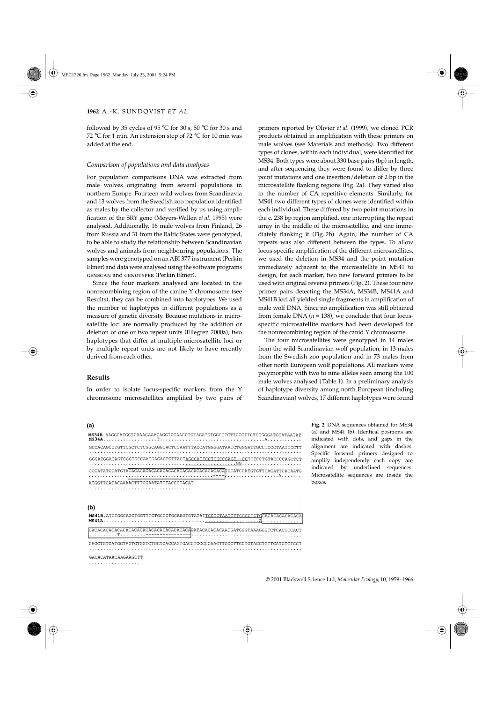followed by 35 cycles of 95 °C for 30 s, 50 °C for 30 s and 72 °C for 1 min. An extension step of 72 °C for 10 min was added at the end.

## *Comparison of populations and data analyses*

For population comparisons DNA was extracted from male wolves originating from several populations in northern Europe. Fourteen wild wolves from Scandinavia and 13 wolves from the Swedish zoo population identified as males by the collector and verified by us using amplification of the SRY gene (Meyers-Wallen *et al*. 1995) were analysed. Additionally, 16 male wolves from Finland, 26 from Russia and 31 from the Baltic States were genotyped, to be able to study the relationship between Scandinavian wolves and animals from neighbouring populations. The samples were genotyped on an ABI 377 instrument (Perkin Elmer) and data were analysed using the software programs genscan and genotyper (Perkin Elmer).

Since the four markers analysed are located in the nonrecombining region of the canine Y chromosome (see Results), they can be combined into haplotypes. We used the number of haplotypes in different populations as a measure of genetic diversity. Because mutations in microsatellite loci are normally produced by the addition or deletion of one or two repeat units (Ellegren 2000a), two haplotypes that differ at multiple microsatellite loci or by multiple repeat units are not likely to have recently derived from each other.

## **Results**

In order to isolate locus-specific markers from the Y chromosome microsatellites amplified by two pairs of primers reported by Olivier *et al*. (1999), we cloned PCR products obtained in amplification with these primers on male wolves (see Materials and methods). Two different types of clones, within each individual, were identified for MS34. Both types were about 330 base pairs (bp) in length, and after sequencing they were found to differ by three point mutations and one insertion/deletion of 2 bp in the microsatellite flanking regions (Fig. 2a). They varied also in the number of CA repetitive elements. Similarly, for MS41 two different types of clones were identified within each individual. These differed by two point mutations in the c. 238 bp region amplified, one interrupting the repeat array in the middle of the microsatellite, and one immediately flanking it (Fig. 2b). Again, the number of CA repeats was also different between the types. To allow locus-specific amplification of the different microsatellites, we used the deletion in MS34 and the point mutation immediately adjacent to the microsatellite in MS41 to design, for each marker, two new forward primers to be used with original reverse primers (Fig. 2). These four new primer pairs detecting the MS34A, MS34B, MS41A and MS41B loci all yielded single fragments in amplification of male wolf DNA. Since no amplification was still obtained from female DNA  $(n = 138)$ , we conclude that four locusspecific microsatellite markers had been developed for the nonrecombining region of the canid Y chromosome.

The four microsatellites were genotyped in 14 males from the wild Scandinavian wolf population, in 13 males from the Swedish zoo population and in 73 males from other north European wolf populations. All markers were polymorphic with two to nine alleles seen among the 100 male wolves analysed (Table 1). In a preliminary analysis of haplotype diversity among north European (including Scandinavian) wolves, 17 different haplotypes were found

 $(a)$ 



**Fig. 2** DNA sequences obtained for MS34 (a) and MS41 (b). Identical positions are indicated with dots, and gaps in the alignment are indicated with dashes. Specific forward primers designed to amplify independently each copy are indicated by underlined sequences. Microsatellite sequences are inside the boxes.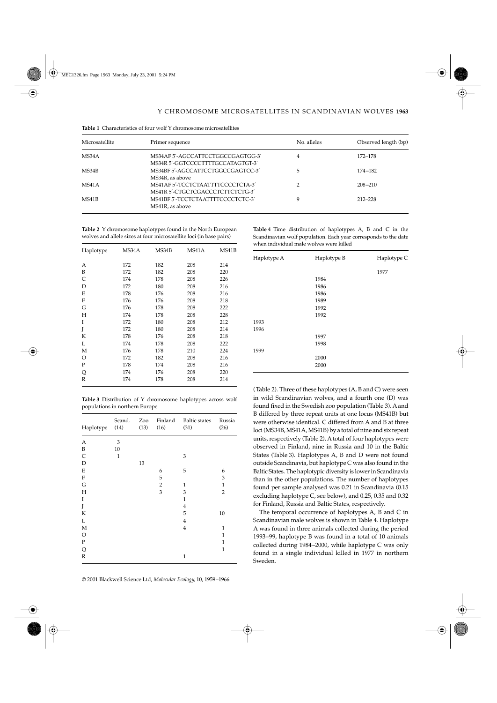| Primer sequence                    | No. alleles | Observed length (bp) |  |
|------------------------------------|-------------|----------------------|--|
| MS34AF5'-AGCCATTCCTGGCCGAGTGG-3'   | 4           | 172–178              |  |
| MS34R 5'-GGTCCCCTTTTGCCATAGTGT-3'  |             |                      |  |
| MS34BF 5'-AGCCATTCCTGGCCGAGTCC-3'  | 5           | 174-182              |  |
| MS34R, as above                    |             |                      |  |
| MS41AF 5'-TCCTCTAATTTTCCCCTCTA-3'  |             | $208 - 210$          |  |
| MS41R 5'-CTGCTCGACCCTCTTCTCTG-3'   |             |                      |  |
| MS41BF 5'-TCCTCTA ATTTTCCCCTCTC-3' |             | 212-228              |  |
| MS41R, as above                    |             |                      |  |
|                                    |             |                      |  |

**Table 1** Characteristics of four wolf Y chromosome microsatellites

**Table 2** Y chromosome haplotypes found in the North European wolves and allele sizes at four microsatellite loci (in base pairs)

| Haplotype | MS34A | MS34B | MS41A | MS41B |
|-----------|-------|-------|-------|-------|
| А         | 172   | 182   | 208   | 214   |
| B         | 172   | 182   | 208   | 220   |
| C         | 174   | 178   | 208   | 226   |
| D         | 172   | 180   | 208   | 216   |
| E         | 178   | 176   | 208   | 216   |
| F         | 176   | 176   | 208   | 218   |
| G         | 176   | 178   | 208   | 222   |
| Н         | 174   | 178   | 208   | 228   |
| I         | 172   | 180   | 208   | 212   |
| J         | 172   | 180   | 208   | 214   |
| K         | 178   | 176   | 208   | 218   |
| L         | 174   | 178   | 208   | 222   |
| M         | 176   | 178   | 210   | 224   |
| O         | 172   | 182   | 208   | 216   |
| P         | 178   | 174   | 208   | 216   |
| Q         | 174   | 176   | 208   | 220   |
| R         | 174   | 178   | 208   | 214   |

**Table 3** Distribution of Y chromosome haplotypes across wolf populations in northern Europe

| Haplotype                 | Scand.<br>(14) | Zoo<br>(13) | Finland<br>(16) | Baltic states<br>(31) | Russia<br>(26) |
|---------------------------|----------------|-------------|-----------------|-----------------------|----------------|
| A                         | 3              |             |                 |                       |                |
| B                         | 10             |             |                 |                       |                |
| C                         | $\mathbf{1}$   |             |                 | 3                     |                |
| D                         |                | 13          |                 |                       |                |
| E                         |                |             | 6               | 5                     | 6              |
| $\boldsymbol{\mathrm{F}}$ |                |             | 5               |                       | 3              |
| G                         |                |             | $\overline{2}$  | $\mathbf 1$           | $\mathbf{1}$   |
| H                         |                |             | 3               | 3                     | $\overline{2}$ |
| I                         |                |             |                 | $\mathbf{1}$          |                |
| J                         |                |             |                 | $\overline{4}$        |                |
| K                         |                |             |                 | 5                     | 10             |
| L                         |                |             |                 | $\boldsymbol{4}$      |                |
| M                         |                |             |                 | $\overline{4}$        | 1              |
| O                         |                |             |                 |                       | 1              |
| $\mathbf P$               |                |             |                 |                       | $\mathbf{1}$   |
| Q                         |                |             |                 |                       | 1              |
| $\mathbb{R}$              |                |             |                 | 1                     |                |

**Table 4** Time distribution of haplotypes A, B and C in the Scandinavian wolf population. Each year corresponds to the date when individual male wolves were killed

| Haplotype A | Haplotype B | Haplotype C |  |
|-------------|-------------|-------------|--|
|             |             | 1977        |  |
|             | 1984        |             |  |
|             | 1986        |             |  |
|             | 1986        |             |  |
|             | 1989        |             |  |
|             | 1992        |             |  |
|             | 1992        |             |  |
| 1993        |             |             |  |
| 1996        |             |             |  |
|             | 1997        |             |  |
|             | 1998        |             |  |
| 1999        |             |             |  |
|             | 2000        |             |  |
|             | 2000        |             |  |

(Table 2). Three of these haplotypes (A, B and C) were seen in wild Scandinavian wolves, and a fourth one (D) was found fixed in the Swedish zoo population (Table 3). A and B differed by three repeat units at one locus (MS41B) but were otherwise identical. C differed from A and B at three loci (MS34B, MS41A, MS41B) by a total of nine and six repeat units, respectively (Table 2). A total of four haplotypes were observed in Finland, nine in Russia and 10 in the Baltic States (Table 3). Haplotypes A, B and D were not found outside Scandinavia, but haplotype C was also found in the Baltic States. The haplotypic diversity is lower in Scandinavia than in the other populations. The number of haplotypes found per sample analysed was 0.21 in Scandinavia (0.15 excluding haplotype C, see below), and 0.25, 0.35 and 0.32 for Finland, Russia and Baltic States, respectively.

The temporal occurrence of haplotypes A, B and C in Scandinavian male wolves is shown in Table 4. Haplotype A was found in three animals collected during the period 1993–99, haplotype B was found in a total of 10 animals collected during 1984–2000, while haplotype C was only found in a single individual killed in 1977 in northern Sweden.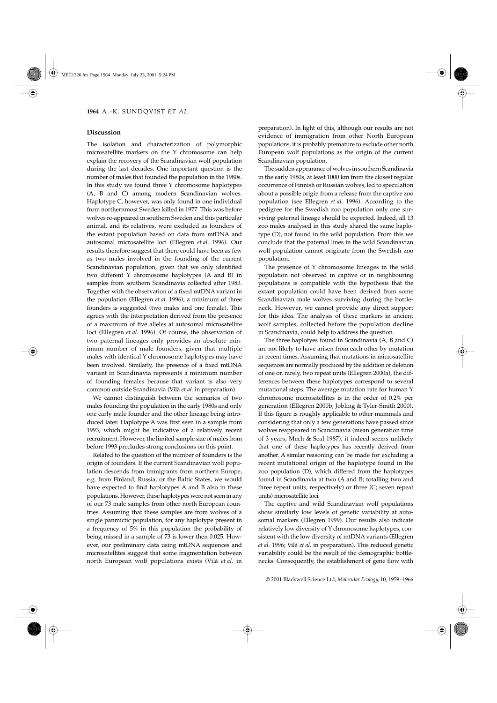## **Discussion**

The isolation and characterization of polymorphic microsatellite markers on the Y chromosome can help explain the recovery of the Scandinavian wolf population during the last decades. One important question is the number of males that founded the population in the 1980s. In this study we found three Y chromosome haplotypes (A, B and C) among modern Scandinavian wolves. Haplotype C, however, was only found in one individual from northernmost Sweden killed in 1977. This was before wolves re-appeared in southern Sweden and this particular animal, and its relatives, were excluded as founders of the extant population based on data from mtDNA and autosomal microsatellite loci (Ellegren *et al*. 1996). Our results therefore suggest that there could have been as few as two males involved in the founding of the current Scandinavian population, given that we only identified two different Y chromosome haplotypes (A and B) in samples from southern Scandinavia collected after 1983. Together with the observation of a fixed mtDNA variant in the population (Ellegren *et al*. 1996), a minimum of three founders is suggested (two males and one female). This agrees with the interpretation derived from the presence of a maximum of five alleles at autosomal microsatellite loci (Ellegren *et al*. 1996). Of course, the observation of two paternal lineages only provides an absolute minimum number of male founders, given that multiple males with identical Y chromosome haplotypes may have been involved. Similarly, the presence of a fixed mtDNA variant in Scandinavia represents a minimum number of founding females because that variant is also very common outside Scandinavia (Vilà *et al*. in preparation).

We cannot distinguish between the scenarios of two males founding the population in the early 1980s and only one early male founder and the other lineage being introduced later. Haplotype A was first seen in a sample from 1993, which might be indicative of a relatively recent recruitment. However, the limited sample size of males from before 1993 precludes strong conclusions on this point.

Related to the question of the number of founders is the origin of founders. If the current Scandinavian wolf population descends from immigrants from northern Europe, e.g. from Finland, Russia, or the Baltic States, we would have expected to find haplotypes A and B also in these populations. However, these haplotypes were not seen in any of our 73 male samples from other north European countries. Assuming that these samples are from wolves of a single panmictic population, for any haplotype present in a frequency of 5% in this population the probability of being missed in a sample of 73 is lower then 0.025. However, our preliminary data using mtDNA sequences and microsatellites suggest that some fragmentation between north European wolf populations exists (Vilà *et al*. in

preparation). In light of this, although our results are not evidence of immigration from other North European populations, it is probably premature to exclude other north European wolf populations as the origin of the current Scandinavian population.

The sudden appearance of wolves in southern Scandinavia in the early 1980s, at least 1000 km from the closest regular occurrence of Finnish or Russian wolves, led to speculation about a possible origin from a release from the captive zoo population (see Ellegren *et al*. 1996). According to the pedigree for the Swedish zoo population only one surviving paternal lineage should be expected. Indeed, all 13 zoo males analysed in this study shared the same haplotype (D), not found in the wild population. From this we conclude that the paternal lines in the wild Scandinavian wolf population cannot originate from the Swedish zoo population.

The presence of Y chromosome lineages in the wild population not observed in captive or in neighbouring populations is compatible with the hypothesis that the extant population could have been derived from some Scandinavian male wolves surviving during the bottleneck. However, we cannot provide any direct support for this idea. The analysis of these markers in ancient wolf samples, collected before the population decline in Scandinavia, could help to address the question.

The three haplotyes found in Scandinavia (A, B and C) are not likely to have arisen from each other by mutation in recent times. Assuming that mutations in microsatellite sequences are normally produced by the addition or deletion of one or, rarely, two repeat units (Ellegren 2000a), the differences between these haplotypes correspond to several mutational steps. The average mutation rate for human Y chromosome microsatellites is in the order of 0.2% per generation (Ellegren 2000b; Jobling & Tyler-Smith 2000). If this figure is roughly applicable to other mammals and considering that only a few generations have passed since wolves reappeared in Scandinavia (mean generation time of 3 years; Mech & Seal 1987), it indeed seems unlikely that one of these haplotypes has recently derived from another. A similar reasoning can be made for excluding a recent mutational origin of the haplotype found in the zoo population (D), which differed from the haplotypes found in Scandinavia at two (A and B; totalling two and three repeat units, respectively) or three (C; seven repeat units) microsatellite loci.

The captive and wild Scandinavian wolf populations show similarly low levels of genetic variability at autosomal markers (Ellegren 1999). Our results also indicate relatively low diversity of Y chromosome haplotypes, consistent with the low diversity of mtDNA variants (Ellegren *et al*. 1996; Vilà *et al*. in preparation). This reduced genetic variability could be the result of the demographic bottlenecks. Consequently, the establishment of gene flow with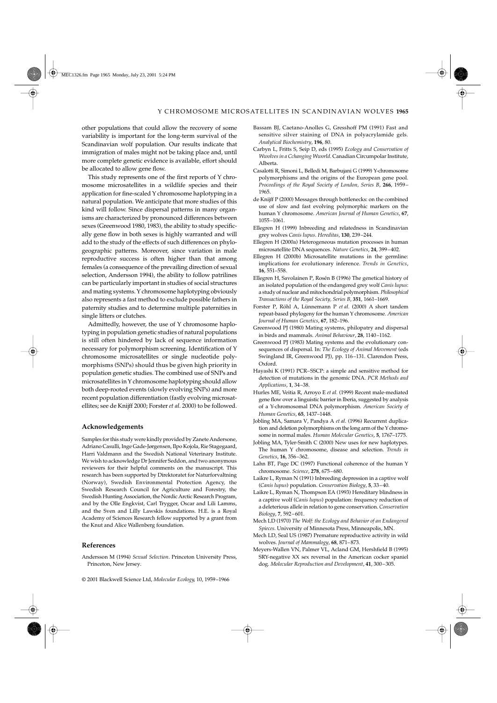other populations that could allow the recovery of some variability is important for the long-term survival of the Scandinavian wolf population. Our results indicate that immigration of males might not be taking place and, until more complete genetic evidence is available, effort should be allocated to allow gene flow.

This study represents one of the first reports of Y chromosome microsatellites in a wildlife species and their application for fine-scaled Y chromosome haplotyping in a natural population. We anticipate that more studies of this kind will follow. Since dispersal patterns in many organisms are characterized by pronounced differences between sexes (Greenwood 1980, 1983), the ability to study specifically gene flow in both sexes is highly warranted and will add to the study of the effects of such differences on phylogeographic patterns. Moreover, since variation in male reproductive success is often higher than that among females (a consequence of the prevailing direction of sexual selection, Andersson 1994), the ability to follow patrilines can be particularly important in studies of social structures and mating systems. Y chromosome haplotyping obviously also represents a fast method to exclude possible fathers in paternity studies and to determine multiple paternities in single litters or clutches.

Admittedly, however, the use of Y chromosome haplotyping in population genetic studies of natural populations is still often hindered by lack of sequence information necessary for polymorphism screening. Identification of Y chromosome microsatellites or single nucleotide polymorphisms (SNPs) should thus be given high priority in population genetic studies. The combined use of SNPs and microsatellites in Y chromosome haplotyping should allow both deep-rooted events (slowly evolving SNPs) and more recent population differentiation (fastly evolving microsatellites; see de Knijff 2000; Forster *et al*. 2000) to be followed.

# **Acknowledgements**

Samples for this study were kindly provided by Zanete Andersone, Adriano Casulli, Inge Gade-Jørgensen, Ilpo Kojola, Rie Stagegaard, Harri Valdmann and the Swedish National Veterinary Institute. We wish to acknowledge Dr Jennifer Seddon, and two anonymous reviewers for their helpful comments on the manuscript. This research has been supported by Direktoratet for Naturforvaltning (Norway), Swedish Environmental Protection Agency, the Swedish Research Council for Agriculture and Forestry, the Swedish Hunting Association, the Nordic Arctic Research Program, and by the Olle Engkvist, Carl Trygger, Oscar and Lili Lamms, and the Sven and Lilly Lawskis foundations. H.E. is a Royal Academy of Sciences Research fellow supported by a grant from the Knut and Alice Wallenberg foundation.

# **References**

- Andersson M (1994) *Sexual Selection*. Princeton University Press, Princeton, New Jersey.
- © 2001 Blackwell Science Ltd, *Molecular Ecology*, 10, 1959–1966
- Bassam BJ, Caetano-Anolles G, Gresshoff PM (1991) Fast and sensitive silver staining of DNA in polyacrylamide gels. *Analytical Biochemistry*, **196**, 80.
- Carbyn L, Fritts S, Seip D, eds (1995) *Ecology and Conservation of Wwolves in a Cchanging Wworld*. Canadian Circumpolar Institute, Alberta.
- Casalotti R, Simoni L, Belledi M, Barbujani G (1999) Y-chromosome polymorphisms and the origins of the European gene pool. *Proceedings of the Royal Society of London, Series B*, **266**, 1959– 1965.
- de Knijff P (2000) Messages through bottlenecks: on the combined use of slow and fast evolving polymorphic markers on the human Y chromosome. *American Journal of Human Genetics*, **67**, 1055–1061.
- Ellegren H (1999) Inbreeding and relatedness in Scandinavian grey wolves *Canis lupus*. *Hereditas*, **130**, 239–244.
- Ellegren H (2000a) Heterogeneous mutation processes in human microsatellite DNA sequences. *Nature Genetics*, **24**, 399–402.
- Ellegren H (2000b) Microsatellite mutations in the germline: implications for evolutionary inference. *Trends in Genetics*, **16**, 551–558.
- Ellegren H, Savolainen P, Rosén B (1996) The genetical history of an isolated population of the endangered grey wolf *Canis lupus*: a study of nuclear and mitochondrial polymorphism. *Philosophical Transactions of the Royal Society, Series B*, **351**, 1661–1669.
- Forster P, Röhl A, Lünnemann P *et al.* (2000) A short tandem repeat-based phylogeny for the human Y chromosome. *American Journal of Human Genetics*, **67**, 182–196.
- Greenwood PJ (1980) Mating systems, philopatry and dispersal in birds and mammals. *Animal Behaviour*, **28**, 1140–1162.
- Greenwood PJ (1983) Mating systems and the evolutionary consequences of dispersal. In: *The Ecology of Animal Movement* (eds Swingland IR, Greenwood PJ), pp. 116–131. Clarendon Press, Oxford.
- Hayashi K (1991) PCR–SSCP: a simple and sensitive method for detection of mutations in the genomic DNA. *PCR Methods and Applications*, **1**, 34–38.
- Hurles ME, Veitia R, Arroyo E *et al.* (1999) Recent male-mediated gene flow over a linguistic barrier in Iberia, suggested by analysis of a Y-chromosomal DNA polymorphism. *American Society of Human Genetics*, **65**, 1437–1448.
- Jobling MA, Samara V, Pandya A *et al.* (1996) Recurrent duplication and deletion polymorphisms on the long arm of the Y chromosome in normal males. *Human Molecular Genetics*, **5**, 1767–1775.
- Jobling MA, Tyler-Smith C (2000) New uses for new haplotypes. The human Y chromosome, disease and selection. *Trends in Genetics*, **16**, 356–362.
- Lahn BT, Page DC (1997) Functional coherence of the human Y chromosome. *Science*, **278**, 675–680.
- Laikre L, Ryman N (1991) Inbreeding depression in a captive wolf (*Canis lupus*) population. *Conservation Biology*, **5**, 33–40.
- Laikre L, Ryman N, Thompson EA (1993) Hereditary blindness in a captive wolf (*Canis lupus*) population: frequency reduction of a deleterious allele in relation to gene conservation. *Conservation Biology*, **7**, 592–601.
- Mech LD (1970) *The Wolf: the Ecology and Behavior of an Endangered Spieces*. University of Minnesota Press, Minneapolis, MN.
- Mech LD, Seal US (1987) Premature reproductive activity in wild wolves*. Journal of Mammalogy*, **68**, 871–873.
- Meyers-Wallen VN, Palmer VL, Acland GM, Hershfield B (1995) SRY-negative XX sex reversal in the American cocker spaniel dog. *Molecular Reproduction and Development*, **41**, 300–305.